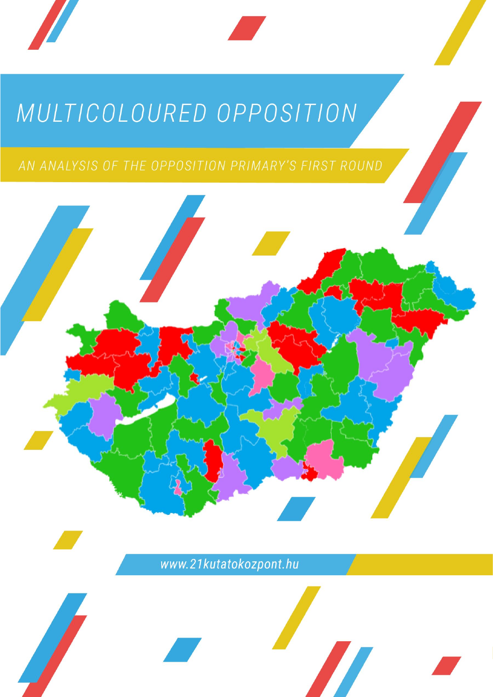

 *Analysis of the Opposition Primary's 21 Research Center*

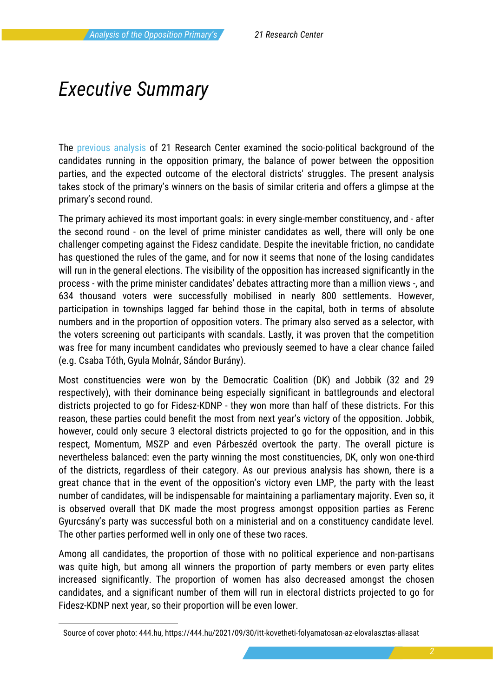#### *Executive Summary*

The [previous analysis](http://21kutatokozpont.hu/wp-content/uploads/2021/10/elovalasztas2.pdf) of 21 Research Center examined the socio-political background of the candidates running in the opposition primary, the balance of power between the opposition parties, and the expected outcome of the electoral districts' struggles. The present analysis takes stock of the primary's winners on the basis of similar criteria and offers a glimpse at the primary's second round.

The primary achieved its most important goals: in every single-member constituency, and - after the second round - on the level of prime minister candidates as well, there will only be one challenger competing against the Fidesz candidate. Despite the inevitable friction, no candidate has questioned the rules of the game, and for now it seems that none of the losing candidates will run in the general elections. The visibility of the opposition has increased significantly in the process - with the prime minister candidates' debates attracting more than a million views -, and 634 thousand voters were successfully mobilised in nearly 800 settlements. However, participation in townships lagged far behind those in the capital, both in terms of absolute numbers and in the proportion of opposition voters. The primary also served as a selector, with the voters screening out participants with scandals. Lastly, it was proven that the competition was free for many incumbent candidates who previously seemed to have a clear chance failed (e.g. Csaba Tóth, Gyula Molnár, Sándor Burány).

Most constituencies were won by the Democratic Coalition (DK) and Jobbik (32 and 29 respectively), with their dominance being especially significant in battlegrounds and electoral districts projected to go for Fidesz-KDNP - they won more than half of these districts. For this reason, these parties could benefit the most from next year's victory of the opposition. Jobbik, however, could only secure 3 electoral districts projected to go for the opposition, and in this respect, Momentum, MSZP and even Párbeszéd overtook the party. The overall picture is nevertheless balanced: even the party winning the most constituencies, DK, only won one-third of the districts, regardless of their category. As our previous analysis has shown, there is a great chance that in the event of the opposition's victory even LMP, the party with the least number of candidates, will be indispensable for maintaining a parliamentary majority. Even so, it is observed overall that DK made the most progress amongst opposition parties as Ferenc Gyurcsány's party was successful both on a ministerial and on a constituency candidate level. The other parties performed well in only one of these two races.

Among all candidates, the proportion of those with no political experience and non-partisans was quite high, but among all winners the proportion of party members or even party elites increased significantly. The proportion of women has also decreased amongst the chosen candidates, and a significant number of them will run in electoral districts projected to go for Fidesz-KDNP next year, so their proportion will be even lower.

<sup>1</sup> Source of cover photo: 444.hu, https://444.hu/2021/09/30/itt-kovetheti-folyamatosan-az-elovalasztas-allasat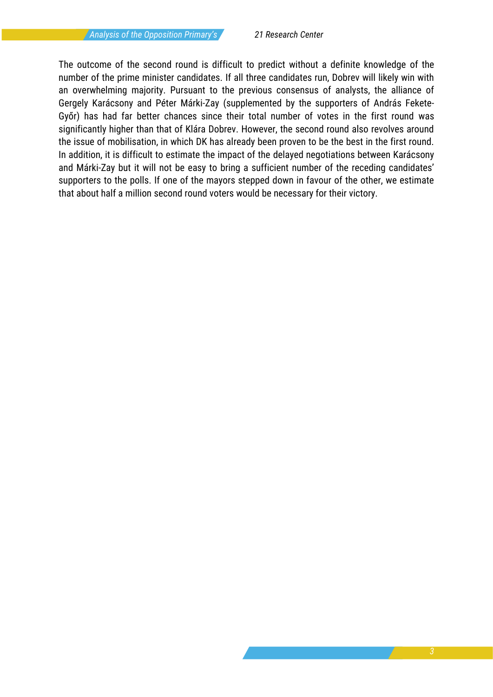The outcome of the second round is difficult to predict without a definite knowledge of the number of the prime minister candidates. If all three candidates run, Dobrev will likely win with an overwhelming majority. Pursuant to the previous consensus of analysts, the alliance of Gergely Karácsony and Péter Márki-Zay (supplemented by the supporters of András Fekete-Győr) has had far better chances since their total number of votes in the first round was significantly higher than that of Klára Dobrev. However, the second round also revolves around the issue of mobilisation, in which DK has already been proven to be the best in the first round. In addition, it is difficult to estimate the impact of the delayed negotiations between Karácsony and Márki-Zay but it will not be easy to bring a sufficient number of the receding candidates' supporters to the polls. If one of the mayors stepped down in favour of the other, we estimate that about half a million second round voters would be necessary for their victory.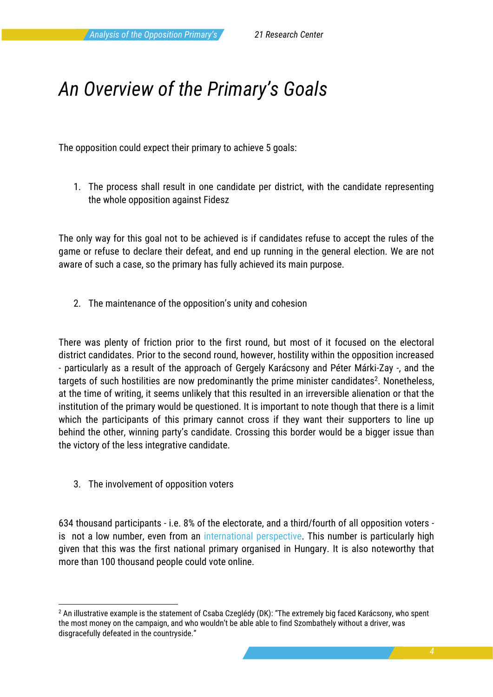## *An Overview of the Primary's Goals*

The opposition could expect their primary to achieve 5 goals:

1. The process shall result in one candidate per district, with the candidate representing the whole opposition against Fidesz

The only way for this goal not to be achieved is if candidates refuse to accept the rules of the game or refuse to declare their defeat, and end up running in the general election. We are not aware of such a case, so the primary has fully achieved its main purpose.

2. The maintenance of the opposition's unity and cohesion

There was plenty of friction prior to the first round, but most of it focused on the electoral district candidates. Prior to the second round, however, hostility within the opposition increased - particularly as a result of the approach of Gergely Karácsony and Péter Márki-Zay -, and the targets of such hostilities are now predominantly the prime minister candidates<sup>2</sup>. Nonetheless, at the time of writing, it seems unlikely that this resulted in an irreversible alienation or that the institution of the primary would be questioned. It is important to note though that there is a limit which the participants of this primary cannot cross if they want their supporters to line up behind the other, winning party's candidate. Crossing this border would be a bigger issue than the victory of the less integrative candidate.

3. The involvement of opposition voters

634 thousand participants - i.e. 8% of the electorate, and a third/fourth of all opposition voters is not a low number, even from an [international perspective.](http://republikon.hu/media/100793/republikon-elovalasztas-reszvetel-21-09-18.pdf) This number is particularly high given that this was the first national primary organised in Hungary. It is also noteworthy that more than 100 thousand people could vote online.

<sup>2</sup> An illustrative example is the statement of Csaba Czeglédy (DK): "The extremely big faced Karácsony, who spent the most money on the campaign, and who wouldn't be able able to find Szombathely without a driver, was disgracefully defeated in the countryside."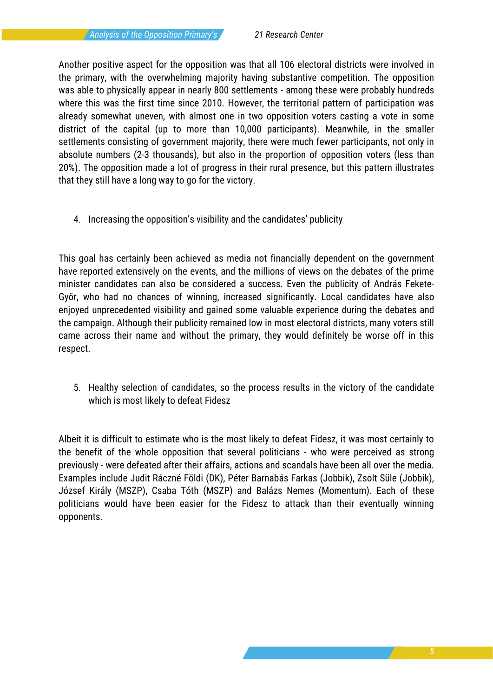Another positive aspect for the opposition was that all 106 electoral districts were involved in the primary, with the overwhelming majority having substantive competition. The opposition was able to physically appear in nearly 800 settlements - among these were probably hundreds where this was the first time since 2010. However, the territorial pattern of participation was already somewhat uneven, with almost one in two opposition voters casting a vote in some district of the capital (up to more than 10,000 participants). Meanwhile, in the smaller settlements consisting of government majority, there were much fewer participants, not only in absolute numbers (2-3 thousands), but also in the proportion of opposition voters (less than 20%). The opposition made a lot of progress in their rural presence, but this pattern illustrates that they still have a long way to go for the victory.

4. Increasing the opposition's visibility and the candidates' publicity

This goal has certainly been achieved as media not financially dependent on the government have reported extensively on the events, and the millions of views on the debates of the prime minister candidates can also be considered a success. Even the publicity of András Fekete-Győr, who had no chances of winning, increased significantly. Local candidates have also enjoyed unprecedented visibility and gained some valuable experience during the debates and the campaign. Although their publicity remained low in most electoral districts, many voters still came across their name and without the primary, they would definitely be worse off in this respect.

5. Healthy selection of candidates, so the process results in the victory of the candidate which is most likely to defeat Fidesz

Albeit it is difficult to estimate who is the most likely to defeat Fidesz, it was most certainly to the benefit of the whole opposition that several politicians - who were perceived as strong previously - were defeated after their affairs, actions and scandals have been all over the media. Examples include Judit Ráczné Földi (DK), Péter Barnabás Farkas (Jobbik), Zsolt Süle (Jobbik), József Király (MSZP), Csaba Tóth (MSZP) and Balázs Nemes (Momentum). Each of these politicians would have been easier for the Fidesz to attack than their eventually winning opponents.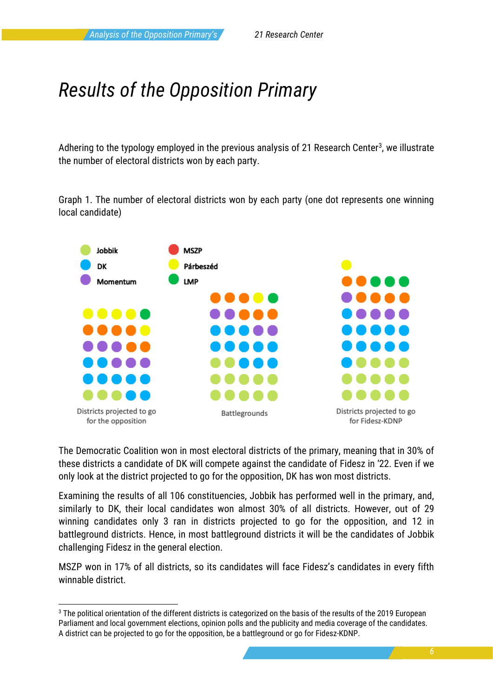# *Results of the Opposition Primary*

Adhering to the typology employed in the previous analysis of 21 Research Center<sup>3</sup>, we illustrate the number of electoral districts won by each party.

Graph 1. The number of electoral districts won by each party (one dot represents one winning local candidate)



The Democratic Coalition won in most electoral districts of the primary, meaning that in 30% of these districts a candidate of DK will compete against the candidate of Fidesz in '22. Even if we only look at the district projected to go for the opposition, DK has won most districts.

Examining the results of all 106 constituencies, Jobbik has performed well in the primary, and, similarly to DK, their local candidates won almost 30% of all districts. However, out of 29 winning candidates only 3 ran in districts projected to go for the opposition, and 12 in battleground districts. Hence, in most battleground districts it will be the candidates of Jobbik challenging Fidesz in the general election.

MSZP won in 17% of all districts, so its candidates will face Fidesz's candidates in every fifth winnable district.

<sup>&</sup>lt;sup>3</sup> The political orientation of the different districts is categorized on the basis of the results of the 2019 European Parliament and local government elections, opinion polls and the publicity and media coverage of the candidates. A district can be projected to go for the opposition, be a battleground or go for Fidesz-KDNP.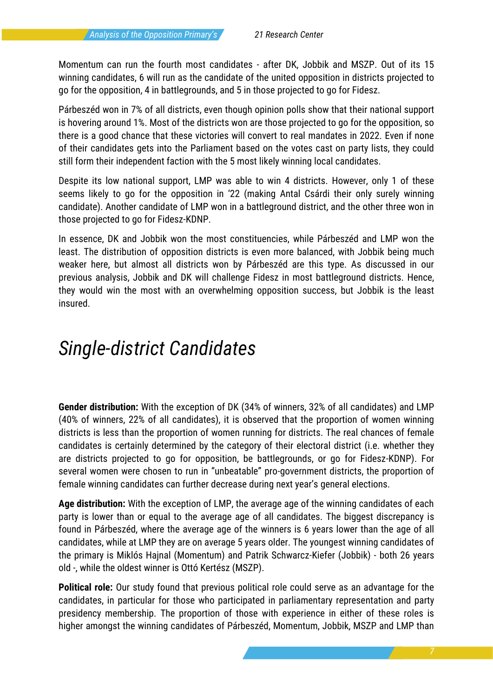Momentum can run the fourth most candidates - after DK, Jobbik and MSZP. Out of its 15 winning candidates, 6 will run as the candidate of the united opposition in districts projected to go for the opposition, 4 in battlegrounds, and 5 in those projected to go for Fidesz.

Párbeszéd won in 7% of all districts, even though opinion polls show that their national support is hovering around 1%. Most of the districts won are those projected to go for the opposition, so there is a good chance that these victories will convert to real mandates in 2022. Even if none of their candidates gets into the Parliament based on the votes cast on party lists, they could still form their independent faction with the 5 most likely winning local candidates.

Despite its low national support, LMP was able to win 4 districts. However, only 1 of these seems likely to go for the opposition in '22 (making Antal Csárdi their only surely winning candidate). Another candidate of LMP won in a battleground district, and the other three won in those projected to go for Fidesz-KDNP.

In essence, DK and Jobbik won the most constituencies, while Párbeszéd and LMP won the least. The distribution of opposition districts is even more balanced, with Jobbik being much weaker here, but almost all districts won by Párbeszéd are this type. As discussed in our previous analysis, Jobbik and DK will challenge Fidesz in most battleground districts. Hence, they would win the most with an overwhelming opposition success, but Jobbik is the least insured.

## *Single-district Candidates*

**Gender distribution:** With the exception of DK (34% of winners, 32% of all candidates) and LMP (40% of winners, 22% of all candidates), it is observed that the proportion of women winning districts is less than the proportion of women running for districts. The real chances of female candidates is certainly determined by the category of their electoral district (i.e. whether they are districts projected to go for opposition, be battlegrounds, or go for Fidesz-KDNP). For several women were chosen to run in "unbeatable" pro-government districts, the proportion of female winning candidates can further decrease during next year's general elections.

**Age distribution:** With the exception of LMP, the average age of the winning candidates of each party is lower than or equal to the average age of all candidates. The biggest discrepancy is found in Párbeszéd, where the average age of the winners is 6 years lower than the age of all candidates, while at LMP they are on average 5 years older. The youngest winning candidates of the primary is Miklós Hajnal (Momentum) and Patrik Schwarcz-Kiefer (Jobbik) - both 26 years old -, while the oldest winner is Ottó Kertész (MSZP).

**Political role:** Our study found that previous political role could serve as an advantage for the candidates, in particular for those who participated in parliamentary representation and party presidency membership. The proportion of those with experience in either of these roles is higher amongst the winning candidates of Párbeszéd, Momentum, Jobbik, MSZP and LMP than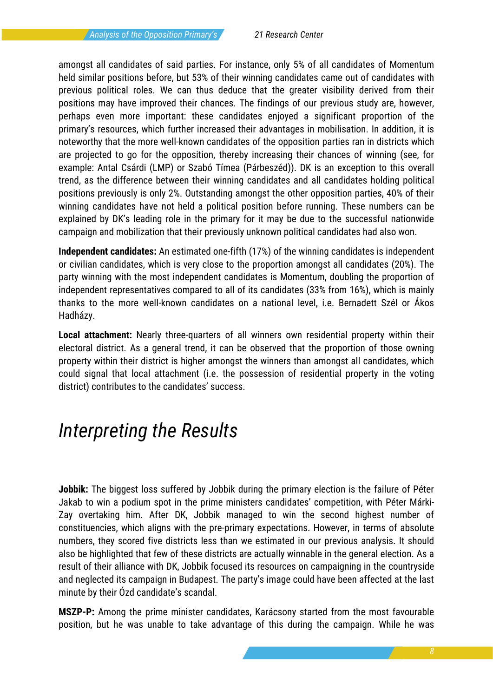amongst all candidates of said parties. For instance, only 5% of all candidates of Momentum held similar positions before, but 53% of their winning candidates came out of candidates with previous political roles. We can thus deduce that the greater visibility derived from their positions may have improved their chances. The findings of our previous study are, however, perhaps even more important: these candidates enjoyed a significant proportion of the primary's resources, which further increased their advantages in mobilisation. In addition, it is noteworthy that the more well-known candidates of the opposition parties ran in districts which are projected to go for the opposition, thereby increasing their chances of winning (see, for example: Antal Csárdi (LMP) or Szabó Tímea (Párbeszéd)). DK is an exception to this overall trend, as the difference between their winning candidates and all candidates holding political positions previously is only 2%. Outstanding amongst the other opposition parties, 40% of their winning candidates have not held a political position before running. These numbers can be explained by DK's leading role in the primary for it may be due to the successful nationwide campaign and mobilization that their previously unknown political candidates had also won.

**Independent candidates:** An estimated one-fifth (17%) of the winning candidates is independent or civilian candidates, which is very close to the proportion amongst all candidates (20%). The party winning with the most independent candidates is Momentum, doubling the proportion of independent representatives compared to all of its candidates (33% from 16%), which is mainly thanks to the more well-known candidates on a national level, i.e. Bernadett Szél or Ákos Hadházy.

**Local attachment:** Nearly three-quarters of all winners own residential property within their electoral district. As a general trend, it can be observed that the proportion of those owning property within their district is higher amongst the winners than amongst all candidates, which could signal that local attachment (i.e. the possession of residential property in the voting district) contributes to the candidates' success.

## *Interpreting the Results*

**Jobbik:** The biggest loss suffered by Jobbik during the primary election is the failure of Péter Jakab to win a podium spot in the prime ministers candidates' competition, with Péter Márki-Zay overtaking him. After DK, Jobbik managed to win the second highest number of constituencies, which aligns with the pre-primary expectations. However, in terms of absolute numbers, they scored five districts less than we estimated in our previous analysis. It should also be highlighted that few of these districts are actually winnable in the general election. As a result of their alliance with DK, Jobbik focused its resources on campaigning in the countryside and neglected its campaign in Budapest. The party's image could have been affected at the last minute by their Ózd candidate's scandal.

**MSZP-P:** Among the prime minister candidates, Karácsony started from the most favourable position, but he was unable to take advantage of this during the campaign. While he was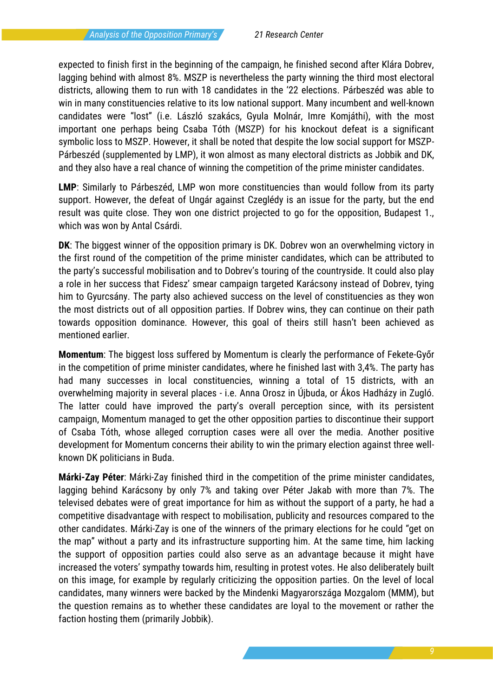expected to finish first in the beginning of the campaign, he finished second after Klára Dobrev, lagging behind with almost 8%. MSZP is nevertheless the party winning the third most electoral districts, allowing them to run with 18 candidates in the '22 elections. Párbeszéd was able to win in many constituencies relative to its low national support. Many incumbent and well-known candidates were "lost" (i.e. László szakács, Gyula Molnár, Imre Komjáthi), with the most important one perhaps being Csaba Tóth (MSZP) for his knockout defeat is a significant symbolic loss to MSZP. However, it shall be noted that despite the low social support for MSZP-Párbeszéd (supplemented by LMP), it won almost as many electoral districts as Jobbik and DK, and they also have a real chance of winning the competition of the prime minister candidates.

**LMP**: Similarly to Párbeszéd, LMP won more constituencies than would follow from its party support. However, the defeat of Ungár against Czeglédy is an issue for the party, but the end result was quite close. They won one district projected to go for the opposition, Budapest 1., which was won by Antal Csárdi.

**DK:** The biggest winner of the opposition primary is DK. Dobrev won an overwhelming victory in the first round of the competition of the prime minister candidates, which can be attributed to the party's successful mobilisation and to Dobrev's touring of the countryside. It could also play a role in her success that Fidesz' smear campaign targeted Karácsony instead of Dobrev, tying him to Gyurcsány. The party also achieved success on the level of constituencies as they won the most districts out of all opposition parties. If Dobrev wins, they can continue on their path towards opposition dominance. However, this goal of theirs still hasn't been achieved as mentioned earlier.

**Momentum**: The biggest loss suffered by Momentum is clearly the performance of Fekete-Győr in the competition of prime minister candidates, where he finished last with 3,4%. The party has had many successes in local constituencies, winning a total of 15 districts, with an overwhelming majority in several places - i.e. Anna Orosz in Újbuda, or Ákos Hadházy in Zugló. The latter could have improved the party's overall perception since, with its persistent campaign, Momentum managed to get the other opposition parties to discontinue their support of Csaba Tóth, whose alleged corruption cases were all over the media. Another positive development for Momentum concerns their ability to win the primary election against three wellknown DK politicians in Buda.

**Márki-Zay Péter**: Márki-Zay finished third in the competition of the prime minister candidates, lagging behind Karácsony by only 7% and taking over Péter Jakab with more than 7%. The televised debates were of great importance for him as without the support of a party, he had a competitive disadvantage with respect to mobilisation, publicity and resources compared to the other candidates. Márki-Zay is one of the winners of the primary elections for he could "get on the map" without a party and its infrastructure supporting him. At the same time, him lacking the support of opposition parties could also serve as an advantage because it might have increased the voters' sympathy towards him, resulting in protest votes. He also deliberately built on this image, for example by regularly criticizing the opposition parties. On the level of local candidates, many winners were backed by the Mindenki Magyarországa Mozgalom (MMM), but the question remains as to whether these candidates are loyal to the movement or rather the faction hosting them (primarily Jobbik).